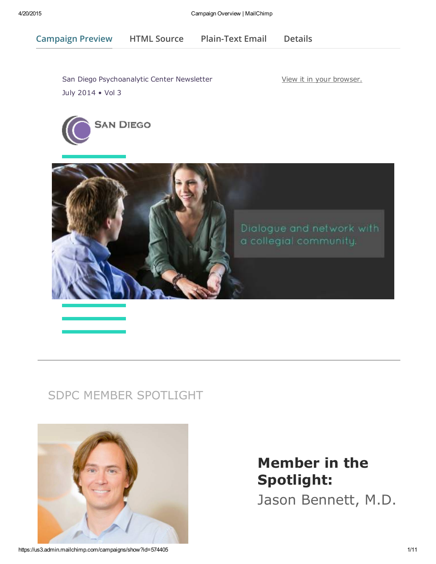Campaign Preview HTML Source [Plain-Text](javascript:;) Email [Details](http://us3.campaign-archive2.com/?u=e579b5babe4b487bafecbf868&id=5e1d8523e4&e=[UNIQID])

San Diego Psychoanalytic Center [Newsletter](https://us3.admin.mailchimp.com/account/profile/) July 2014 • Vol 3

View it in your browser.





## SDPC MEMBER SPOTLIGHT



# Member in the Spotlight:

Jason Bennett, M.D.

https://us3.admin.mailchimp.com/campaigns/show?id=574405 1/11 1 1/11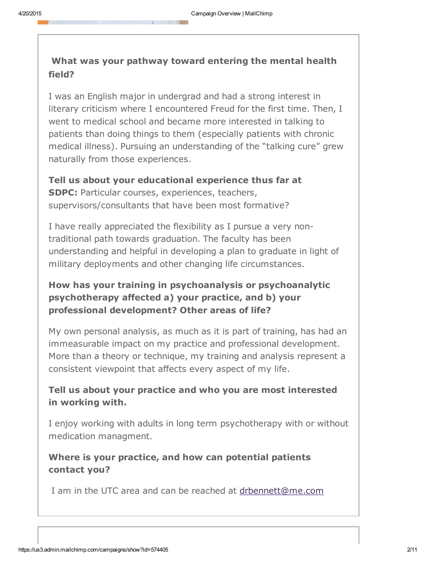## What was your pathway toward entering the mental health field?

I was an English major in undergrad and had a strong interest in literary criticism where I encountered Freud for the first time. Then, I went to medical school and became more interested in talking to patients than doing things to them (especially patients with chronic medical illness). Pursuing an understanding of the "talking cure" grew naturally from those experiences.

Tell us about your educational experience thus far at SDPC: Particular courses, experiences, teachers, supervisors/consultants that have been most formative?

I have really appreciated the flexibility as I pursue a very nontraditional path towards graduation. The faculty has been understanding and helpful in developing a plan to graduate in light of military deployments and other changing life circumstances.

## How has your training in psychoanalysis or psychoanalytic psychotherapy affected a) your practice, and b) your professional development? Other areas of life?

My own personal analysis, as much as it is part of training, has had an immeasurable impact on my practice and professional development. More than a theory or technique, my training and analysis represent a consistent viewpoint that affects every aspect of my life.

## Tell us about your practice and who you are most interested in working with.

I enjoy working with adults in long term psychotherapy with or without medication managment.

## Where is your practice, and how can potential [patients](mailto:drbennett@me.com?subject=Inquiry%20from%20SDPC%20Spotlight) contact you?

I am in the UTC area and can be reached at drbennett@me.com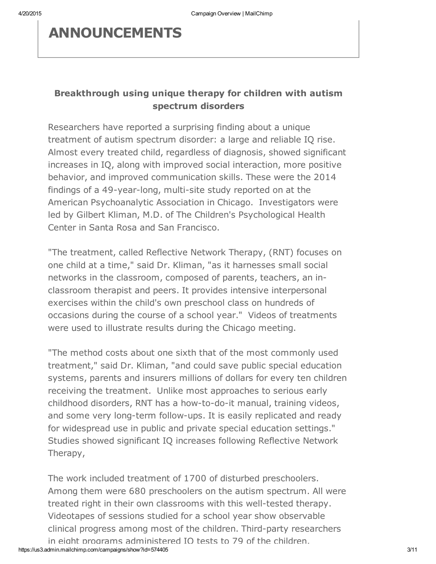## ANNOUNCEMENTS

### Breakthrough using unique therapy for children with autism spectrum disorders

Researchers have reported a surprising finding about a unique treatment of autism spectrum disorder: a large and reliable IQ rise. Almost every treated child, regardless of diagnosis, showed significant increases in IQ, along with improved social interaction, more positive behavior, and improved communication skills. These were the 2014 findings of a 49-year-long, multi-site study reported on at the American Psychoanalytic Association in Chicago. Investigators were led by Gilbert Kliman, M.D. of The Children's Psychological Health Center in Santa Rosa and San Francisco.

"The treatment, called Reflective Network Therapy, (RNT) focuses on one child at a time," said Dr. Kliman, "as it harnesses small social networks in the classroom, composed of parents, teachers, an inclassroom therapist and peers. It provides intensive interpersonal exercises within the child's own preschool class on hundreds of occasions during the course of a school year." Videos of treatments were used to illustrate results during the Chicago meeting.

"The method costs about one sixth that of the most commonly used treatment," said Dr. Kliman, "and could save public special education systems, parents and insurers millions of dollars for every ten children receiving the treatment. Unlike most approaches to serious early childhood disorders, RNT has a how-to-do-it manual, training videos, and some very long-term follow-ups. It is easily replicated and ready for widespread use in public and private special education settings." Studies showed significant IQ increases following Reflective Network Therapy,

https://us3.admin.mailchimp.com/campaigns/show?id=574405 3/11 The work included treatment of 1700 of disturbed preschoolers. Among them were 680 preschoolers on the autism spectrum. All were treated right in their own classrooms with this well-tested therapy. Videotapes of sessions studied for a school year show observable clinical progress among most of the children. Third-party researchers in eight programs administered IQ tests to 79 of the children,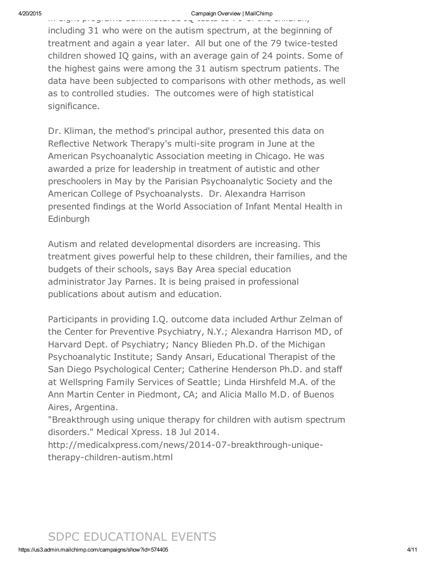in eight programs administered IQ tests to 79 of the children, including 31 who were on the autism spectrum, at the beginning of treatment and again a year later. All but one of the 79 twice-tested children showed IQ gains, with an average gain of 24 points. Some of the highest gains were among the 31 autism spectrum patients. The data have been subjected to comparisons with other methods, as well as to controlled studies. The outcomes were of high statistical significance.

Dr. Kliman, the method's principal author, presented this data on Reflective Network Therapy's multi-site program in June at the American Psychoanalytic Association meeting in Chicago. He was awarded a prize for leadership in treatment of autistic and other preschoolers in May by the Parisian Psychoanalytic Society and the American College of Psychoanalysts. Dr. Alexandra Harrison presented findings at the World Association of Infant Mental Health in Edinburgh

Autism and related developmental disorders are increasing. This treatment gives powerful help to these children, their families, and the budgets of their schools, says Bay Area special education administrator Jay Parnes. It is being praised in professional publications about autism and education.

Participants in providing I.Q. outcome data included Arthur Zelman of the Center for Preventive Psychiatry, N.Y.; Alexandra Harrison MD, of Harvard Dept. of Psychiatry; Nancy Blieden Ph.D. of the Michigan Psychoanalytic Institute; Sandy Ansari, Educational Therapist of the San Diego Psychological Center; Catherine Henderson Ph.D. and staff at Wellspring Family Services of Seattle; Linda Hirshfeld M.A. of the Ann Martin Center in Piedmont, CA; and Alicia Mallo M.D. of Buenos Aires, Argentina.

"Breakthrough using unique therapy for children with autism spectrum disorders." Medical Xpress. 18 Jul 2014.

http://medicalxpress.com/news/2014-07-breakthrough-uniquetherapy-children-autism.html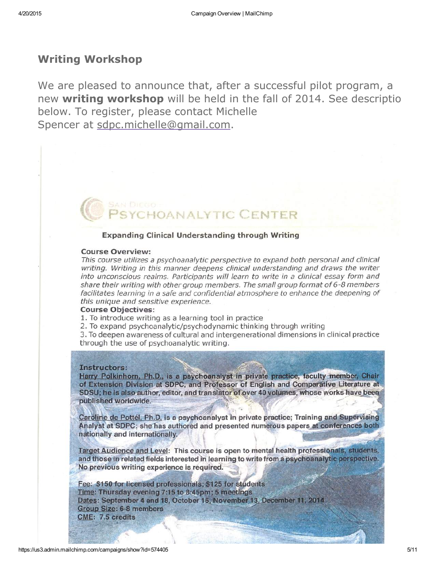## Writing Workshop

We are pleased to [announce](mailto:sdpc.michelle@gmail.com) that, after a successful pilot program, a new writing workshop will be held in the fall of 2014. See description below. To register, please contact Michelle Spencer at sdpc.michelle@gmail.com.

### **Expanding Clinical Understanding through Writing**

#### **Course Overview:**

This course utilizes a psychoanalytic perspective to expand both personal and clinical writing. Writing in this manner deepens clinical understanding and draws the writer into unconscious realms. Participants will learn to write in a clinical essay form and share their writing with other group members. The small group format of  $6$ -8 members facilitates learning in a safe and confidential atmosphere to enhance the deepening of this unique and sensitive experience.

**DANALYTIC CENTER** 

#### **Course Objectives:**

1. To introduce writing as a learning tool in practice

2. To expand psychoanalytic/psychodynamic thinking through writing

3. To deepen awareness of cultural and intergenerational dimensions in clinical practice through the use of psychoanalytic writing.

#### Instructors:

Harry Polkinhorn, Ph.D., is a psychoanalyst in private practice, faculty member, Chair of Extension Division at SDPC, and Professor of English and Comparative Literature at SDSU; he is also author, editor, and translator of over 40 volumes, whose works have been published worldwide.

Caroline de Pottél, Ph.D. is a psychoanalyst in private practice; Training and Supervising Analyst at SDPC; she has authored and presented numerous papers at conferences both nationally and internationally.

Target Audience and Level: This course is open to mental health professionals, students, and those in related fields interested in learning to write from a psychoanalytic perspective. No previous writing experience is required.

Fee: \$150 for licensed professionals; \$125 for students Time: Thursday evening 7:15 to 8:45pm; 5 meetings Dates: September 4 and 18, October 16, November 13, December 11, 2014 **Group Size: 6-8 members CME: 7.5 credits**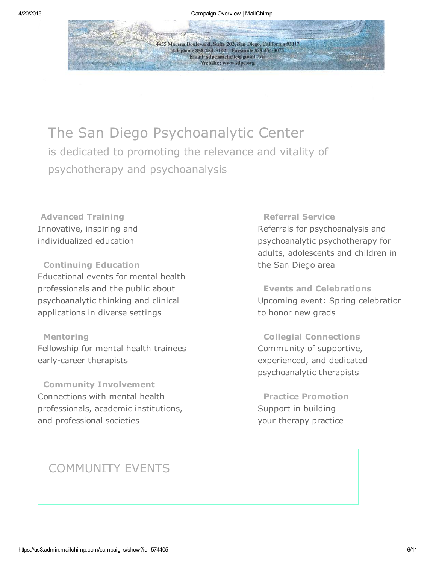4455 Morena Boulevard, Suite 202, San Diego, California 92117 Telephone 858-454-3102 Facsimile 858-454-0075 Email: sdpc.michelle@gmail.com Website: www.sdpc.org

# The San Diego Psychoanalytic Center

is dedicated to promoting the relevance and vitality of psychotherapy and psychoanalysis

Advanced Training Innovative, inspiring and individualized education

Continuing Education Educational events for mental health professionals and the public about psychoanalytic thinking and clinical applications in diverse settings

#### Mentoring

Fellowship for mental health trainees early-career therapists

Community Involvement Connections with mental health professionals, academic institutions, and professional societies

### Referral Service

Referrals for psychoanalysis and psychoanalytic psychotherapy for adults, adolescents and children in the San Diego area

Events and Celebrations Upcoming event: Spring celebration to honor new grads

Collegial Connections Community of supportive, experienced, and dedicated psychoanalytic therapists

Practice Promotion Support in building your therapy practice

## COMMUNITY EVENTS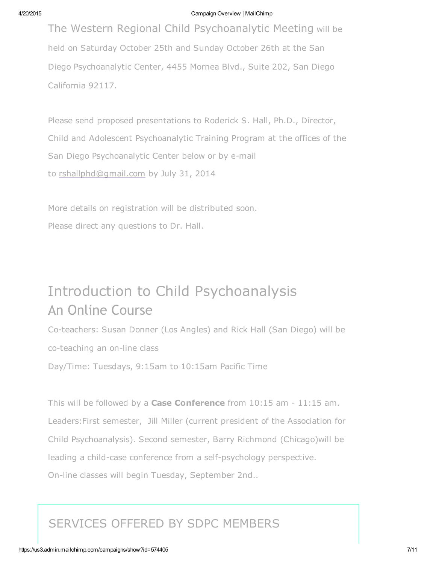#### 4/20/2015 Campaign Overview | MailChimp

The Western Regional Child Psychoanalytic Meeting will be held on Saturday October 25th and Sunday October 26th at the San Diego Psychoanalytic Center, 4455 Mornea Blvd., Suite 202, San Diego California 92117.

Please send proposed presentations to Roderick S. Hall, Ph.D., Director, Child and [Adolescent](mailto:rshallphd@gmail.com) Psychoanalytic Training Program at the offices of the San Diego Psychoanalytic Center below or by e-mail to rshallphd@gmail.com by July 31, 2014

More details on registration will be distributed soon. Please direct any questions to Dr. Hall.

# Introduction to Child Psychoanalysis An Online Course

Co-teachers: Susan Donner (Los Angles) and Rick Hall (San Diego) will be co-teaching an on-line class Day/Time: Tuesdays, 9:15am to 10:15am Pacific Time

This will be followed by a **Case Conference** from  $10:15$  am  $-11:15$  am. Leaders:First semester, Jill Miller (current president of the Association for Child Psychoanalysis). Second semester, Barry Richmond (Chicago)will be leading a child-case conference from a self-psychology perspective. On-line classes will begin Tuesday, September 2nd..

## SERVICES OFFERED BY SDPC MEMBERS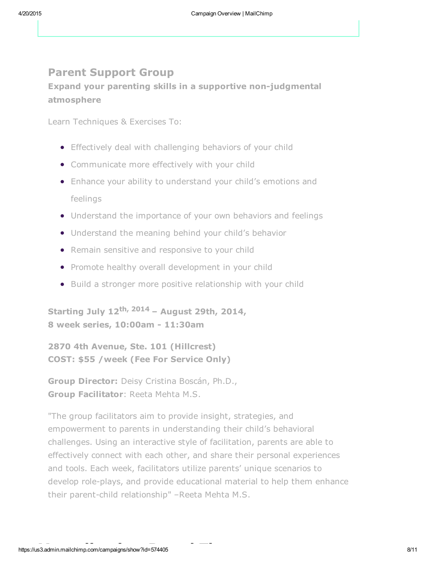## Parent Support Group

Expand your parenting skills in a supportive non-judgmental atmosphere

Learn Techniques & Exercises To:

- **•** Effectively deal with challenging behaviors of your child
- Communicate more effectively with your child
- Enhance your ability to understand your child's emotions and feelings
- Understand the importance of your own behaviors and feelings
- Understand the meaning behind your child's behavior
- Remain sensitive and responsive to your child
- Promote healthy overall development in your child
- Build a stronger more positive relationship with your child

Starting July 12<sup>th, 2014</sup> – August 29th, 2014, 8 week series, 10:00am - 11:30am

2870 4th Avenue, Ste. 101 (Hillcrest) COST: \$55 /week (Fee For Service Only)

Group Director: Deisy Cristina Boscán, Ph.D., Group Facilitator: Reeta Mehta M.S.

"The group facilitators aim to provide insight, strategies, and empowerment to parents in understanding their child's behavioral challenges. Using an interactive style of facilitation, parents are able to effectively connect with each other, and share their personal experiences and tools. Each week, facilitators utilize parents' unique scenarios to develop role-plays, and provide educational material to help them enhance their parent-child relationship" –Reeta Mehta M.S.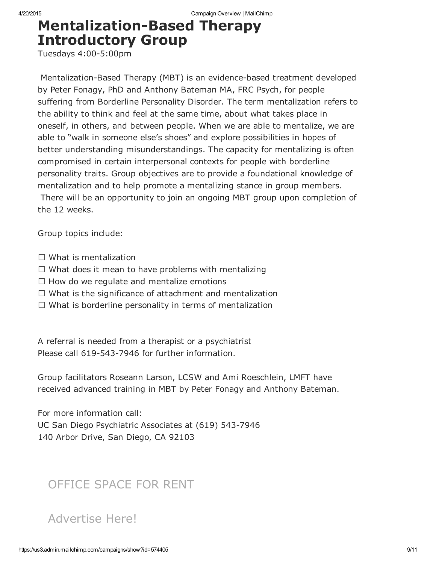# **Mentalization-Based Therapy** Introductory Group

Tuesdays 4:00-5:00pm

Mentalization-Based Therapy (MBT) is an evidence-based treatment developed by Peter Fonagy, PhD and Anthony Bateman MA, FRC Psych, for people suffering from Borderline Personality Disorder. The term mentalization refers to the ability to think and feel at the same time, about what takes place in oneself, in others, and between people. When we are able to mentalize, we are able to "walk in someone else's shoes" and explore possibilities in hopes of better understanding misunderstandings. The capacity for mentalizing is often compromised in certain interpersonal contexts for people with borderline personality traits. Group objectives are to provide a foundational knowledge of mentalization and to help promote a mentalizing stance in group members. There will be an opportunity to join an ongoing MBT group upon completion of the 12 weeks.

Group topics include:

- $\Box$  What is mentalization
- $\Box$  What does it mean to have problems with mentalizing
- $\Box$  How do we regulate and mentalize emotions
- $\Box$  What is the significance of attachment and mentalization
- $\Box$  What is borderline personality in terms of mentalization

A referral is needed from a therapist or a psychiatrist Please call 619-543-7946 for further information.

Group facilitators Roseann Larson, LCSW and Ami Roeschlein, LMFT have received advanced training in MBT by Peter Fonagy and Anthony Bateman.

For more information call: UC San Diego Psychiatric Associates at (619) 543-7946 140 Arbor Drive, San Diego, CA 92103

## OFFICE SPACE FOR RENT

## Advertise Here!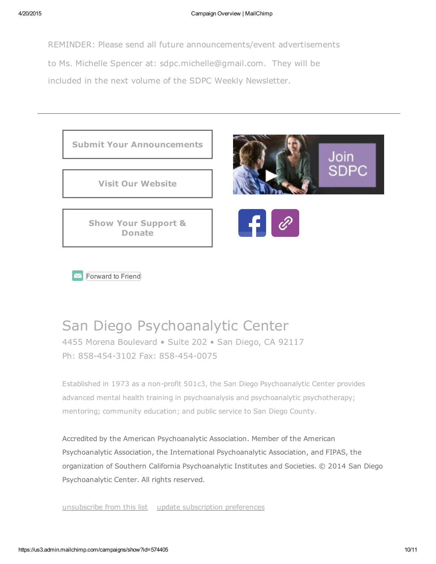REMINDER: Please send all future announcements/event advertisements to Ms. Michelle Spencer at: sdpc.michelle@gmail.com. They will be included in the next volume of the SDPC Weekly Newsletter.

Submit Your [Announc](http://www.sdpsychoanalyticcenter.org/)ements

Visit Our [Website](http://www.sdpsychoanalyticcenter.org/donate-now)

Show Your Support & [Don](http://us3.forward-to-friend1.com/forward?u=e579b5babe4b487bafecbf868&id=5e1d8523e4&e=[UNIQID])ate





Forward to Friend

# San Diego Psychoanalytic Center

4455 Morena Boulevard • Suite 202 • San Diego, CA 92117 Ph: 858-454-3102 Fax: 858-454-0075

Established in 1973 as a non-profit 501c3, the San Diego Psychoanalytic Center provides advanced mental health training in psychoanalysis and psychoanalytic psychotherapy; mentoring; community education; and public service to San Diego County.

Accredited by the American Psychoanalytic Association. Member of the American Psychoanalytic Association, the International Psychoanalytic Association, and FIPAS, the [organization](http://sdpsychoanalytic.us3.list-manage2.com/unsubscribe?u=e579b5babe4b487bafecbf868&id=3cb469b61c&e=[UNIQID]&c=5e1d8523e4) of Southern California [Psychoanalytic](http://sdpsychoanalytic.us3.list-manage1.com/profile?u=e579b5babe4b487bafecbf868&id=3cb469b61c&e=[UNIQID]) Institutes and Societies. © 2014 San Diego Psychoanalytic Center. All rights reserved.

unsubscribe from this list update subscription preferences